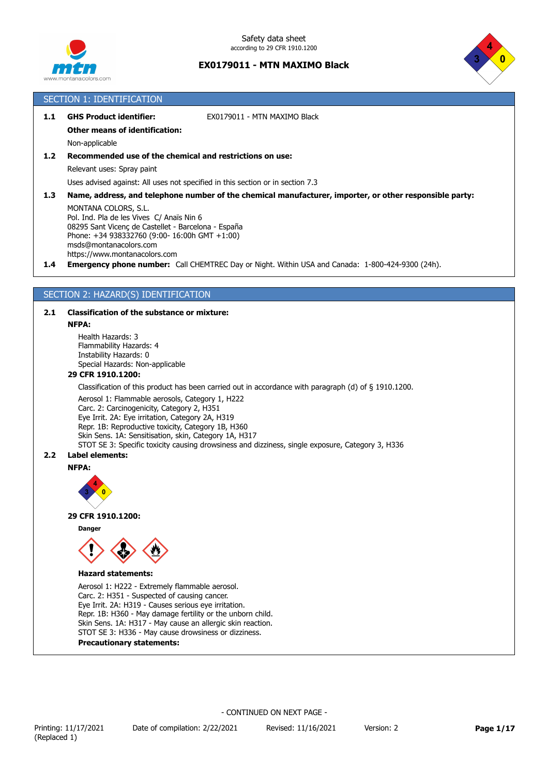



# SECTION 1: IDENTIFICATION

|  |  | 1.1 GHS Product identifier: | EX0179011 - MTN MAXIMO Black |
|--|--|-----------------------------|------------------------------|
|--|--|-----------------------------|------------------------------|

# **Other means of identification:**

Non-applicable

# **1.2 Recommended use of the chemical and restrictions on use:**

Relevant uses: Spray paint

Uses advised against: All uses not specified in this section or in section 7.3

**1.3 Name, address, and telephone number of the chemical manufacturer, importer, or other responsible party:**

MONTANA COLORS, S.L. Pol. Ind. Pla de les Vives C/ Anaïs Nin 6 08295 Sant Vicenç de Castellet - Barcelona - España Phone: +34 938332760 (9:00- 16:00h GMT +1:00) msds@montanacolors.com https://www.montanacolors.com

**1.4 Emergency phone number:** Call CHEMTREC Day or Night. Within USA and Canada: 1-800-424-9300 (24h).

# SECTION 2: HAZARD(S) IDENTIFICATION

### **2.1 Classification of the substance or mixture:**

#### **NFPA:**

Health Hazards: 3 Flammability Hazards: 4 Instability Hazards: 0 Special Hazards: Non-applicable

### **29 CFR 1910.1200:**

Classification of this product has been carried out in accordance with paragraph (d) of § 1910.1200.

Aerosol 1: Flammable aerosols, Category 1, H222 Carc. 2: Carcinogenicity, Category 2, H351 Eye Irrit. 2A: Eye irritation, Category 2A, H319 Repr. 1B: Reproductive toxicity, Category 1B, H360 Skin Sens. 1A: Sensitisation, skin, Category 1A, H317 STOT SE 3: Specific toxicity causing drowsiness and dizziness, single exposure, Category 3, H336

### **2.2 Label elements:**

#### **NFPA:**



#### **29 CFR 1910.1200:**

**Danger**



#### **Hazard statements:**

Aerosol 1: H222 - Extremely flammable aerosol. Carc. 2: H351 - Suspected of causing cancer. Eye Irrit. 2A: H319 - Causes serious eye irritation. Repr. 1B: H360 - May damage fertility or the unborn child. Skin Sens. 1A: H317 - May cause an allergic skin reaction. STOT SE 3: H336 - May cause drowsiness or dizziness.

**Precautionary statements:**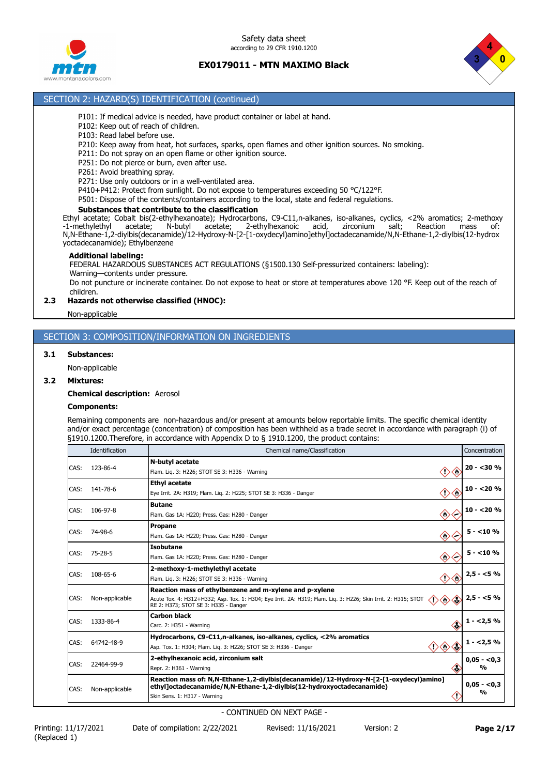

Safety data sheet according to 29 CFR 1910.1200

# **EX0179011 - MTN MAXIMO Black**



# SECTION 2: HAZARD(S) IDENTIFICATION (continued)

- P101: If medical advice is needed, have product container or label at hand.
- P102: Keep out of reach of children.
- P103: Read label before use.
- P210: Keep away from heat, hot surfaces, sparks, open flames and other ignition sources. No smoking.
- P211: Do not spray on an open flame or other ignition source.
- P251: Do not pierce or burn, even after use.
- P261: Avoid breathing spray.
- P271: Use only outdoors or in a well-ventilated area.
- P410+P412: Protect from sunlight. Do not expose to temperatures exceeding 50 °C/122°F.
- P501: Dispose of the contents/containers according to the local, state and federal regulations.

### **Substances that contribute to the classification**

Ethyl acetate; Cobalt bis(2-ethylhexanoate); Hydrocarbons, C9-C11,n-alkanes, iso-alkanes, cyclics, <2% aromatics; 2-methoxy -1-methylethyl acetate; N-butyl acetate; 2-ethylhexanoic acid, zirconium salt; Reaction mass of: N,N-Ethane-1,2-diylbis(decanamide)/12-Hydroxy-N-[2-[1-oxydecyl)amino]ethyl]octadecanamide/N,N-Ethane-1,2-diylbis(12-hydrox yoctadecanamide); Ethylbenzene

#### **Additional labeling:**

FEDERAL HAZARDOUS SUBSTANCES ACT REGULATIONS (§1500.130 Self-pressurized containers: labeling): Warning—contents under pressure.

Do not puncture or incinerate container. Do not expose to heat or store at temperatures above 120 °F. Keep out of the reach of children.

### **2.3 Hazards not otherwise classified (HNOC):**

Non-applicable

### SECTION 3: COMPOSITION/INFORMATION ON INGREDIENTS

### **3.1 Substances:**

Non-applicable

#### **3.2 Mixtures:**

**Chemical description:** Aerosol

#### **Components:**

Remaining components are non-hazardous and/or present at amounts below reportable limits. The specific chemical identity and/or exact percentage (concentration) of composition has been withheld as a trade secret in accordance with paragraph (i) of §1910.1200. Therefore, in accordance with Appendix D to § 1910.1200, the product contains:

|      | Identification | Chemical name/Classification                                                                                                                                                                                                                                  | Concentration                 |
|------|----------------|---------------------------------------------------------------------------------------------------------------------------------------------------------------------------------------------------------------------------------------------------------------|-------------------------------|
| CAS: | 123-86-4       | N-butyl acetate<br>◇<br>$\langle \cdot \rangle$<br>Flam. Lig. 3: H226; STOT SE 3: H336 - Warning                                                                                                                                                              | $20 - 30%$                    |
| CAS: | 141-78-6       | <b>Ethyl acetate</b><br>◇◇<br>Eye Irrit. 2A: H319; Flam. Lig. 2: H225; STOT SE 3: H336 - Danger                                                                                                                                                               | $10 - 20%$                    |
| CAS: | 106-97-8       | <b>Butane</b><br>◇◇<br>Flam. Gas 1A: H220; Press. Gas: H280 - Danger                                                                                                                                                                                          | $10 - 20%$                    |
| CAS: | 74-98-6        | <b>Propane</b><br>$\langle \rangle$<br>Flam. Gas 1A: H220; Press. Gas: H280 - Danger<br>′~                                                                                                                                                                    | $5 - 10%$                     |
| CAS: | $75 - 28 - 5$  | Isobutane<br>$\langle \rangle$<br>Flam. Gas 1A: H220; Press. Gas: H280 - Danger                                                                                                                                                                               | $5 - 10%$                     |
| CAS: | 108-65-6       | 2-methoxy-1-methylethyl acetate<br>$\diamondsuit \diamondsuit$<br>Flam. Lig. 3: H226; STOT SE 3: H336 - Warning                                                                                                                                               | $2,5 - 5%$                    |
| CAS: | Non-applicable | Reaction mass of ethylbenzene and m-xylene and p-xylene<br>$\diamondsuit \diamondsuit \diamondsuit$<br>Acute Tox. 4: H312+H332; Asp. Tox. 1: H304; Eye Irrit. 2A: H319; Flam. Liq. 3: H226; Skin Irrit. 2: H315; STOT<br>RE 2: H373; STOT SE 3: H335 - Danger |                               |
| CAS: | 1333-86-4      | Carbon black<br>«<br>Carc. 2: H351 - Warning                                                                                                                                                                                                                  | $1 - 2.5\%$                   |
| CAS: | 64742-48-9     | Hydrocarbons, C9-C11,n-alkanes, iso-alkanes, cyclics, <2% aromatics<br>$\diamondsuit$<br>Asp. Tox. 1: H304; Flam. Lig. 3: H226; STOT SE 3: H336 - Danger                                                                                                      | $1 - 2.5\%$                   |
| CAS: | 22464-99-9     | 2-ethylhexanoic acid, zirconium salt<br>K)<br>Repr. 2: H361 - Warning                                                                                                                                                                                         | $0.05 - 0.3$<br>$\frac{0}{0}$ |
| CAS: | Non-applicable | Reaction mass of: N,N-Ethane-1,2-diylbis(decanamide)/12-Hydroxy-N-[2-[1-oxydecyl)amino]<br>ethyl]octadecanamide/N,N-Ethane-1,2-diylbis(12-hydroxyoctadecanamide)<br>Skin Sens. 1: H317 - Warning                                                              | $0,05 - 0,3$<br>%             |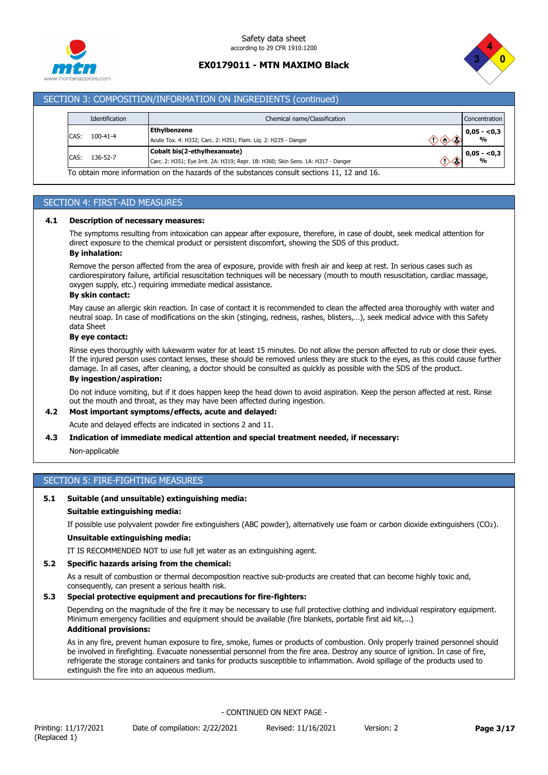



### SECTION 3: COMPOSITION/INFORMATION ON INGREDIENTS (continued)

|                                                                                                                                      | Identification                                                                                          | Chemical name/Classification<br>Concentration |                   |
|--------------------------------------------------------------------------------------------------------------------------------------|---------------------------------------------------------------------------------------------------------|-----------------------------------------------|-------------------|
| CAS:                                                                                                                                 | <b>Ethylbenzene</b><br>$100 - 41 - 4$<br>Acute Tox. 4: H332; Carc. 2: H351; Flam. Lig. 2: H225 - Danger |                                               | $0,05 - 0,3$<br>% |
| Cobalt bis(2-ethylhexanoate)<br>136-52-7<br>CAS:<br>Carc. 2: H351; Eye Irrit. 2A: H319; Repr. 1B: H360; Skin Sens. 1A: H317 - Danger |                                                                                                         | $0,05 - 0,3$<br>%                             |                   |

### SECTION 4: FIRST-AID MEASURES

#### **4.1 Description of necessary measures:**

The symptoms resulting from intoxication can appear after exposure, therefore, in case of doubt, seek medical attention for direct exposure to the chemical product or persistent discomfort, showing the SDS of this product.

### **By inhalation:**

Remove the person affected from the area of exposure, provide with fresh air and keep at rest. In serious cases such as cardiorespiratory failure, artificial resuscitation techniques will be necessary (mouth to mouth resuscitation, cardiac massage, oxygen supply, etc.) requiring immediate medical assistance.

### **By skin contact:**

May cause an allergic skin reaction. In case of contact it is recommended to clean the affected area thoroughly with water and neutral soap. In case of modifications on the skin (stinging, redness, rashes, blisters,…), seek medical advice with this Safety data Sheet

#### **By eye contact:**

Rinse eyes thoroughly with lukewarm water for at least 15 minutes. Do not allow the person affected to rub or close their eyes. If the injured person uses contact lenses, these should be removed unless they are stuck to the eyes, as this could cause further damage. In all cases, after cleaning, a doctor should be consulted as quickly as possible with the SDS of the product.

### **By ingestion/aspiration:**

Do not induce vomiting, but if it does happen keep the head down to avoid aspiration. Keep the person affected at rest. Rinse out the mouth and throat, as they may have been affected during ingestion.

#### **4.2 Most important symptoms/effects, acute and delayed:**

Acute and delayed effects are indicated in sections 2 and 11.

### **4.3 Indication of immediate medical attention and special treatment needed, if necessary:**

Non-applicable

# SECTION 5: FIRE-FIGHTING MEASURES

# **5.1 Suitable (and unsuitable) extinguishing media:**

#### **Suitable extinguishing media:**

If possible use polyvalent powder fire extinguishers (ABC powder), alternatively use foam or carbon dioxide extinguishers (CO₂).

# **Unsuitable extinguishing media:**

IT IS RECOMMENDED NOT to use full jet water as an extinguishing agent.

### **5.2 Specific hazards arising from the chemical:**

As a result of combustion or thermal decomposition reactive sub-products are created that can become highly toxic and, consequently, can present a serious health risk.

#### **5.3 Special protective equipment and precautions for fire-fighters:**

Depending on the magnitude of the fire it may be necessary to use full protective clothing and individual respiratory equipment. Minimum emergency facilities and equipment should be available (fire blankets, portable first aid kit,...) **Additional provisions:**

As in any fire, prevent human exposure to fire, smoke, fumes or products of combustion. Only properly trained personnel should be involved in firefighting. Evacuate nonessential personnel from the fire area. Destroy any source of ignition. In case of fire, refrigerate the storage containers and tanks for products susceptible to inflammation. Avoid spillage of the products used to extinguish the fire into an aqueous medium.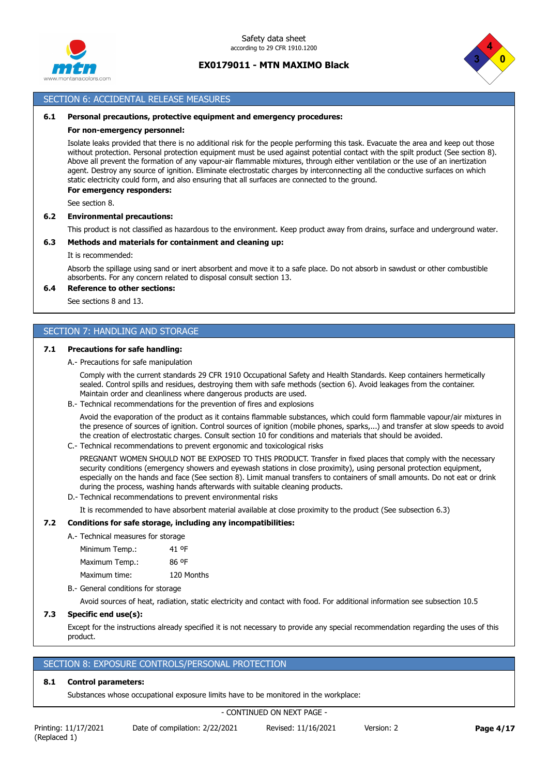



# SECTION 6: ACCIDENTAL RELEASE MEASURES

#### **6.1 Personal precautions, protective equipment and emergency procedures:**

#### **For non-emergency personnel:**

Isolate leaks provided that there is no additional risk for the people performing this task. Evacuate the area and keep out those without protection. Personal protection equipment must be used against potential contact with the spilt product (See section 8). Above all prevent the formation of any vapour-air flammable mixtures, through either ventilation or the use of an inertization agent. Destroy any source of ignition. Eliminate electrostatic charges by interconnecting all the conductive surfaces on which static electricity could form, and also ensuring that all surfaces are connected to the ground.

#### **For emergency responders:**

See section 8.

### **6.2 Environmental precautions:**

This product is not classified as hazardous to the environment. Keep product away from drains, surface and underground water.

### **6.3 Methods and materials for containment and cleaning up:**

#### It is recommended:

Absorb the spillage using sand or inert absorbent and move it to a safe place. Do not absorb in sawdust or other combustible absorbents. For any concern related to disposal consult section 13.

# **6.4 Reference to other sections:**

See sections 8 and 13.

# SECTION 7: HANDLING AND STORAGE

#### **7.1 Precautions for safe handling:**

### A.- Precautions for safe manipulation

Comply with the current standards 29 CFR 1910 Occupational Safety and Health Standards. Keep containers hermetically sealed. Control spills and residues, destroying them with safe methods (section 6). Avoid leakages from the container. Maintain order and cleanliness where dangerous products are used.

B.- Technical recommendations for the prevention of fires and explosions

Avoid the evaporation of the product as it contains flammable substances, which could form flammable vapour/air mixtures in the presence of sources of ignition. Control sources of ignition (mobile phones, sparks,...) and transfer at slow speeds to avoid the creation of electrostatic charges. Consult section 10 for conditions and materials that should be avoided.

C.- Technical recommendations to prevent ergonomic and toxicological risks

PREGNANT WOMEN SHOULD NOT BE EXPOSED TO THIS PRODUCT. Transfer in fixed places that comply with the necessary security conditions (emergency showers and eyewash stations in close proximity), using personal protection equipment, especially on the hands and face (See section 8). Limit manual transfers to containers of small amounts. Do not eat or drink during the process, washing hands afterwards with suitable cleaning products.

D.- Technical recommendations to prevent environmental risks

It is recommended to have absorbent material available at close proximity to the product (See subsection 6.3)

### **7.2 Conditions for safe storage, including any incompatibilities:**

A.- Technical measures for storage

| 41 OF      |
|------------|
| 86 °F      |
| 120 Months |
|            |

B.- General conditions for storage

Avoid sources of heat, radiation, static electricity and contact with food. For additional information see subsection 10.5

### **7.3 Specific end use(s):**

Except for the instructions already specified it is not necessary to provide any special recommendation regarding the uses of this product.

### SECTION 8: EXPOSURE CONTROLS/PERSONAL PROTECTION

### **8.1 Control parameters:**

Substances whose occupational exposure limits have to be monitored in the workplace: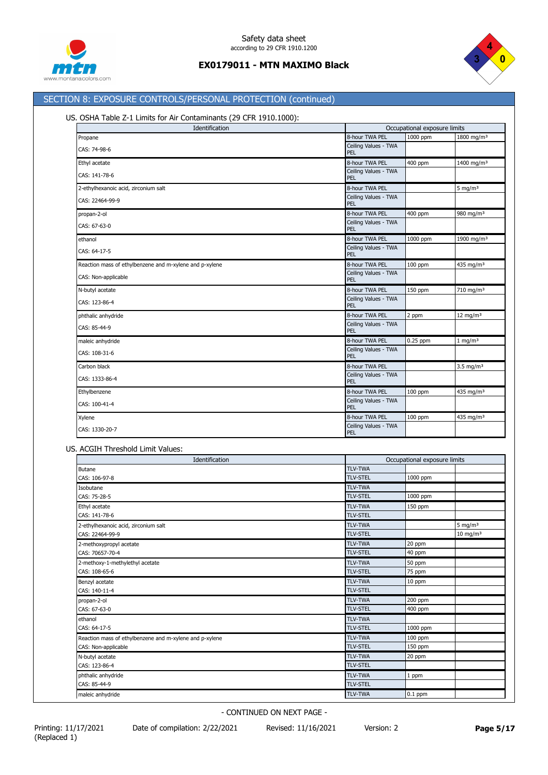



# SECTION 8: EXPOSURE CONTROLS/PERSONAL PROTECTION (continued)

# US. OSHA Table Z-1 Limits for Air Contaminants (29 CFR 1910.1000):

| Identification                                          |                                    | Occupational exposure limits |                        |  |
|---------------------------------------------------------|------------------------------------|------------------------------|------------------------|--|
| Propane                                                 | 8-hour TWA PEL                     | 1000 ppm                     | 1800 mg/m <sup>3</sup> |  |
| CAS: 74-98-6                                            | Ceiling Values - TWA<br>PEL        |                              |                        |  |
| Ethyl acetate                                           | 8-hour TWA PEL                     | 400 ppm                      | 1400 mg/m <sup>3</sup> |  |
| CAS: 141-78-6                                           | Ceiling Values - TWA<br>PEL        |                              |                        |  |
| 2-ethylhexanoic acid, zirconium salt                    | 8-hour TWA PEL                     |                              | 5 mg/m $3$             |  |
| CAS: 22464-99-9                                         | Ceiling Values - TWA<br>PEL        |                              |                        |  |
| propan-2-ol                                             | 8-hour TWA PEL                     | 400 ppm                      | 980 mg/m <sup>3</sup>  |  |
| CAS: 67-63-0                                            | Ceiling Values - TWA<br>PEL        |                              |                        |  |
| ethanol                                                 | 8-hour TWA PEL                     | 1000 ppm                     | 1900 mg/m <sup>3</sup> |  |
| CAS: 64-17-5                                            | Ceiling Values - TWA<br>PEL        |                              |                        |  |
| Reaction mass of ethylbenzene and m-xylene and p-xylene | 8-hour TWA PEL                     | 100 ppm                      | 435 mg/m <sup>3</sup>  |  |
| CAS: Non-applicable                                     | Ceiling Values - TWA<br>PEL        |                              |                        |  |
| N-butyl acetate                                         | 8-hour TWA PEL                     | 150 ppm                      | 710 mg/m <sup>3</sup>  |  |
| CAS: 123-86-4                                           | Ceiling Values - TWA<br>PEL        |                              |                        |  |
| phthalic anhydride                                      | 8-hour TWA PEL                     | 2 ppm                        | 12 mg/m $3$            |  |
| CAS: 85-44-9                                            | Ceiling Values - TWA<br>PEL        |                              |                        |  |
| maleic anhydride                                        | 8-hour TWA PEL                     | $0.25$ ppm                   | $1$ mg/m <sup>3</sup>  |  |
| CAS: 108-31-6                                           | Ceiling Values - TWA<br>PEL        |                              |                        |  |
| Carbon black                                            | 8-hour TWA PEL                     |                              | $3.5 \text{ mg/m}^3$   |  |
| CAS: 1333-86-4                                          | Ceiling Values - TWA<br>PEL        |                              |                        |  |
| Ethylbenzene                                            | 8-hour TWA PEL                     | 100 ppm                      | 435 mg/m <sup>3</sup>  |  |
| CAS: 100-41-4                                           | Ceiling Values - TWA<br><b>PEL</b> |                              |                        |  |
| Xylene                                                  | 8-hour TWA PEL                     | 100 ppm                      | 435 mg/m <sup>3</sup>  |  |
| CAS: 1330-20-7                                          | Ceiling Values - TWA<br>PEL        |                              |                        |  |

# US. ACGIH Threshold Limit Values:

| Identification                                          |                 | Occupational exposure limits |                     |  |
|---------------------------------------------------------|-----------------|------------------------------|---------------------|--|
| <b>Butane</b>                                           | <b>TLV-TWA</b>  |                              |                     |  |
| CAS: 106-97-8                                           | <b>TLV-STEL</b> | 1000 ppm                     |                     |  |
| Isobutane                                               | <b>TLV-TWA</b>  |                              |                     |  |
| CAS: 75-28-5                                            | <b>TLV-STEL</b> | 1000 ppm                     |                     |  |
| Ethyl acetate                                           | <b>TLV-TWA</b>  | 150 ppm                      |                     |  |
| CAS: 141-78-6                                           | <b>TLV-STEL</b> |                              |                     |  |
| 2-ethylhexanoic acid, zirconium salt                    | <b>TLV-TWA</b>  |                              | 5 mg/m $3$          |  |
| CAS: 22464-99-9                                         | <b>TLV-STEL</b> |                              | $10 \text{ mg/m}^3$ |  |
| 2-methoxypropyl acetate                                 | <b>TLV-TWA</b>  | 20 ppm                       |                     |  |
| CAS: 70657-70-4                                         | <b>TLV-STEL</b> | 40 ppm                       |                     |  |
| 2-methoxy-1-methylethyl acetate                         | <b>TLV-TWA</b>  | 50 ppm                       |                     |  |
| CAS: 108-65-6                                           | <b>TLV-STEL</b> | 75 ppm                       |                     |  |
| Benzyl acetate                                          | <b>TLV-TWA</b>  | 10 ppm                       |                     |  |
| CAS: 140-11-4                                           | <b>TLV-STEL</b> |                              |                     |  |
| propan-2-ol                                             | <b>TLV-TWA</b>  | 200 ppm                      |                     |  |
| CAS: 67-63-0                                            | <b>TLV-STEL</b> | 400 ppm                      |                     |  |
| ethanol                                                 | <b>TLV-TWA</b>  |                              |                     |  |
| CAS: 64-17-5                                            | <b>TLV-STEL</b> | 1000 ppm                     |                     |  |
| Reaction mass of ethylbenzene and m-xylene and p-xylene | <b>TLV-TWA</b>  | 100 ppm                      |                     |  |
| CAS: Non-applicable                                     | <b>TLV-STEL</b> | 150 ppm                      |                     |  |
| N-butyl acetate                                         | <b>TLV-TWA</b>  | 20 ppm                       |                     |  |
| CAS: 123-86-4                                           | <b>TLV-STEL</b> |                              |                     |  |
| phthalic anhydride                                      | <b>TLV-TWA</b>  | 1 ppm                        |                     |  |
| CAS: 85-44-9                                            | <b>TLV-STEL</b> |                              |                     |  |
| maleic anhydride                                        | <b>TLV-TWA</b>  | $0.1$ ppm                    |                     |  |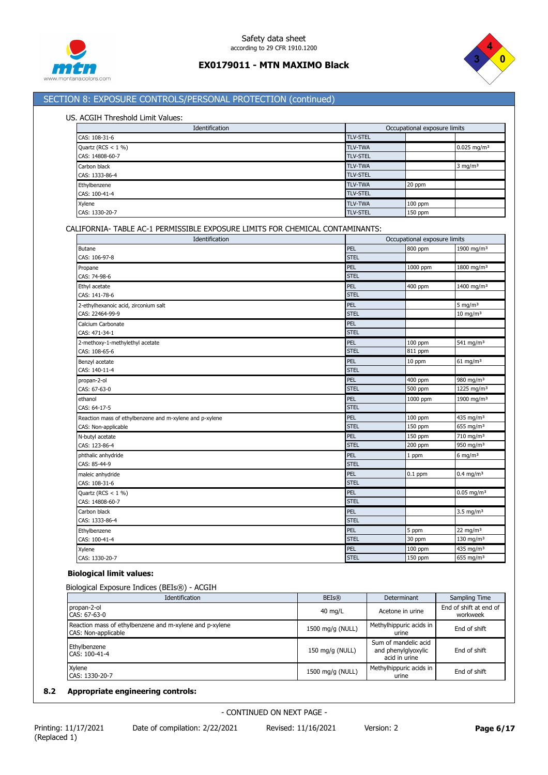



# SECTION 8: EXPOSURE CONTROLS/PERSONAL PROTECTION (continued)

# US. ACGIH Threshold Limit Values:

| Identification       |                 | Occupational exposure limits |                           |
|----------------------|-----------------|------------------------------|---------------------------|
| CAS: 108-31-6        | <b>TLV-STEL</b> |                              |                           |
| Quartz (RCS $<$ 1 %) | <b>TLV-TWA</b>  |                              | $0.025$ mg/m <sup>3</sup> |
| CAS: 14808-60-7      | <b>TLV-STEL</b> |                              |                           |
| Carbon black         | <b>TLV-TWA</b>  |                              | $3$ mg/m <sup>3</sup>     |
| CAS: 1333-86-4       | <b>TLV-STEL</b> |                              |                           |
| Ethylbenzene         | <b>TLV-TWA</b>  | 20 ppm                       |                           |
| CAS: 100-41-4        | <b>TLV-STEL</b> |                              |                           |
| Xylene               | <b>TLV-TWA</b>  | $100$ ppm                    |                           |
| CAS: 1330-20-7       | <b>TLV-STEL</b> | 150 ppm                      |                           |

# CALIFORNIA- TABLE AC-1 PERMISSIBLE EXPOSURE LIMITS FOR CHEMICAL CONTAMINANTS:

| Identification                                          |             | Occupational exposure limits |                          |  |
|---------------------------------------------------------|-------------|------------------------------|--------------------------|--|
| <b>Butane</b>                                           | PEL         | 800 ppm                      | 1900 mg/m <sup>3</sup>   |  |
| CAS: 106-97-8                                           | <b>STEL</b> |                              |                          |  |
| Propane                                                 | PEL         | 1000 ppm                     | 1800 mg/m <sup>3</sup>   |  |
| CAS: 74-98-6                                            | <b>STEL</b> |                              |                          |  |
| Ethyl acetate                                           | PEL         | 400 ppm                      | 1400 mg/m <sup>3</sup>   |  |
| CAS: 141-78-6                                           | <b>STEL</b> |                              |                          |  |
| 2-ethylhexanoic acid, zirconium salt                    | PEL         |                              | 5 mg/m $3$               |  |
| CAS: 22464-99-9                                         | <b>STEL</b> |                              | $10 \text{ mg/m}^3$      |  |
| Calcium Carbonate                                       | PEL         |                              |                          |  |
| CAS: 471-34-1                                           | <b>STEL</b> |                              |                          |  |
| 2-methoxy-1-methylethyl acetate                         | PEL         | 100 ppm                      | 541 mg/m <sup>3</sup>    |  |
| CAS: 108-65-6                                           | <b>STEL</b> | 811 ppm                      |                          |  |
| Benzyl acetate                                          | PEL         | 10 ppm                       | $61$ mg/m <sup>3</sup>   |  |
| CAS: 140-11-4                                           | <b>STEL</b> |                              |                          |  |
| propan-2-ol                                             | PEL         | 400 ppm                      | 980 mg/m <sup>3</sup>    |  |
| CAS: 67-63-0                                            | <b>STEL</b> | 500 ppm                      | 1225 mg/m <sup>3</sup>   |  |
| ethanol                                                 | PEL         | 1000 ppm                     | 1900 mg/m <sup>3</sup>   |  |
| CAS: 64-17-5                                            | <b>STEL</b> |                              |                          |  |
| Reaction mass of ethylbenzene and m-xylene and p-xylene | PEL         | 100 ppm                      | 435 mg/m <sup>3</sup>    |  |
| CAS: Non-applicable                                     | <b>STEL</b> | 150 ppm                      | 655 mg/m <sup>3</sup>    |  |
| N-butyl acetate                                         | PEL         | 150 ppm                      | 710 mg/m <sup>3</sup>    |  |
| CAS: 123-86-4                                           | <b>STEL</b> | 200 ppm                      | 950 mg/m $3$             |  |
| phthalic anhydride                                      | PEL         | 1 ppm                        | 6 mg/m $3$               |  |
| CAS: 85-44-9                                            | <b>STEL</b> |                              |                          |  |
| maleic anhydride                                        | PEL         | $0.1$ ppm                    | $0.4$ mg/m <sup>3</sup>  |  |
| CAS: 108-31-6                                           | <b>STEL</b> |                              |                          |  |
| Quartz (RCS $<$ 1 %)                                    | PEL         |                              | $0.05$ mg/m <sup>3</sup> |  |
| CAS: 14808-60-7                                         | <b>STEL</b> |                              |                          |  |
| Carbon black                                            | PEL         |                              | $3.5 \text{ mg/m}^3$     |  |
| CAS: 1333-86-4                                          | <b>STEL</b> |                              |                          |  |
| Ethylbenzene                                            | PEL         | 5 ppm                        | 22 mg/m $3$              |  |
| CAS: 100-41-4                                           | <b>STEL</b> | 30 ppm                       | 130 mg/m $3$             |  |
| Xylene                                                  | PEL         | 100 ppm                      | 435 mg/m <sup>3</sup>    |  |
| CAS: 1330-20-7                                          | <b>STEL</b> | 150 ppm                      | 655 mg/m <sup>3</sup>    |  |

#### **Biological limit values:**

Biological Exposure Indices (BEIs®) - ACGIH

| Identification                                                                 | <b>BEIs®</b>      | Determinant                                                  | Sampling Time                      |
|--------------------------------------------------------------------------------|-------------------|--------------------------------------------------------------|------------------------------------|
| propan-2-ol<br>CAS: 67-63-0                                                    | $40 \text{ mg/L}$ | Acetone in urine                                             | End of shift at end of<br>workweek |
| Reaction mass of ethylbenzene and m-xylene and p-xylene<br>CAS: Non-applicable | 1500 mg/g (NULL)  | Methylhippuric acids in<br>urine                             | End of shift                       |
| Ethylbenzene<br>CAS: 100-41-4                                                  | 150 mg/g (NULL)   | Sum of mandelic acid<br>and phenylglyoxylic<br>acid in urine | End of shift                       |
| Xylene<br>CAS: 1330-20-7                                                       | 1500 mg/g (NULL)  | Methylhippuric acids in<br>urine                             | End of shift                       |

# **8.2 Appropriate engineering controls:**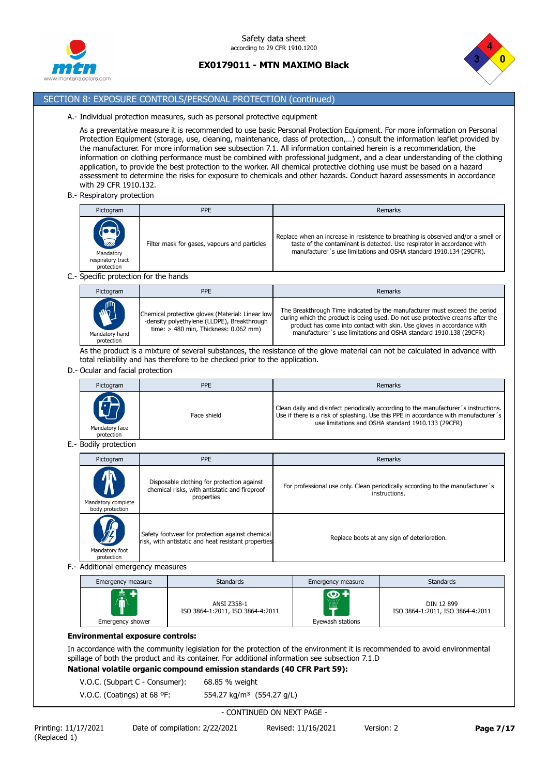



# SECTION 8: EXPOSURE CONTROLS/PERSONAL PROTECTION (continued)

#### A.- Individual protection measures, such as personal protective equipment

As a preventative measure it is recommended to use basic Personal Protection Equipment. For more information on Personal Protection Equipment (storage, use, cleaning, maintenance, class of protection,…) consult the information leaflet provided by the manufacturer. For more information see subsection 7.1. All information contained herein is a recommendation, the information on clothing performance must be combined with professional judgment, and a clear understanding of the clothing application, to provide the best protection to the worker. All chemical protective clothing use must be based on a hazard assessment to determine the risks for exposure to chemicals and other hazards. Conduct hazard assessments in accordance with 29 CFR 1910.132.

B.- Respiratory protection

| Pictogram                                                                                        | <b>PPE</b>                                   | Remarks                                                                                                                                                                                                                            |
|--------------------------------------------------------------------------------------------------|----------------------------------------------|------------------------------------------------------------------------------------------------------------------------------------------------------------------------------------------------------------------------------------|
| $\begin{pmatrix} 1 \\ 1 \\ 1 \\ 1 \end{pmatrix}$<br>Mandatory<br>respiratory tract<br>protection | Filter mask for gases, vapours and particles | Replace when an increase in resistence to breathing is observed and/or a smell or<br>taste of the contaminant is detected. Use respirator in accordance with<br>manufacturer's use limitations and OSHA standard 1910.134 (29CFR). |

### C.- Specific protection for the hands

| Pictogram                                   | <b>PPE</b>                                                                                                                                 | Remarks                                                                                                                                                                                                                                                                                                     |
|---------------------------------------------|--------------------------------------------------------------------------------------------------------------------------------------------|-------------------------------------------------------------------------------------------------------------------------------------------------------------------------------------------------------------------------------------------------------------------------------------------------------------|
| <b>RAND</b><br>Mandatory hand<br>protection | Chemical protective gloves (Material: Linear low<br>-density polyethylene (LLDPE), Breakthrough<br>time: $> 480$ min, Thickness: 0.062 mm) | The Breakthrough Time indicated by the manufacturer must exceed the period<br>during which the product is being used. Do not use protective creams after the<br>product has come into contact with skin. Use gloves in accordance with<br>manufacturer's use limitations and OSHA standard 1910.138 (29CFR) |

As the product is a mixture of several substances, the resistance of the glove material can not be calculated in advance with total reliability and has therefore to be checked prior to the application.

# D.- Ocular and facial protection

| Pictogram                    | <b>PPE</b>  | Remarks                                                                                                                                                                                                                           |
|------------------------------|-------------|-----------------------------------------------------------------------------------------------------------------------------------------------------------------------------------------------------------------------------------|
| Mandatory face<br>protection | Face shield | Clean daily and disinfect periodically according to the manufacturer's instructions.<br>Use if there is a risk of splashing. Use this PPE in accordance with manufacturer's<br>use limitations and OSHA standard 1910.133 (29CFR) |

### E.- Bodily protection

| Pictogram                                               | <b>PPE</b>                                                                                                | Remarks                                                                                        |
|---------------------------------------------------------|-----------------------------------------------------------------------------------------------------------|------------------------------------------------------------------------------------------------|
| $\bm{\Lambda}$<br>Mandatory complete<br>body protection | Disposable clothing for protection against<br>chemical risks, with antistatic and fireproof<br>properties | For professional use only. Clean periodically according to the manufacturer's<br>instructions. |
| VF)<br>Mandatory foot<br>protection                     | Safety footwear for protection against chemical<br>risk, with antistatic and heat resistant properties    | Replace boots at any sign of deterioration.                                                    |

#### F.- Additional emergency measures

| Emergency measure | <b>Standards</b>                                | Emergency measure                  | <b>Standards</b>                               |
|-------------------|-------------------------------------------------|------------------------------------|------------------------------------------------|
| AV.               | ANSI Z358-1<br>ISO 3864-1:2011, ISO 3864-4:2011 | $\bullet$<br>.<br>1111111<br>Hilli | DIN 12 899<br>ISO 3864-1:2011, ISO 3864-4:2011 |
| Emergency shower  |                                                 | Eyewash stations                   |                                                |

### **Environmental exposure controls:**

In accordance with the community legislation for the protection of the environment it is recommended to avoid environmental spillage of both the product and its container. For additional information see subsection 7.1.D

# **National volatile organic compound emission standards (40 CFR Part 59):**

V.O.C. (Subpart C - Consumer): 68.85 % weight

V.O.C. (Coatings) at 68 ºF: 554.27 kg/m³ (554.27 g/L)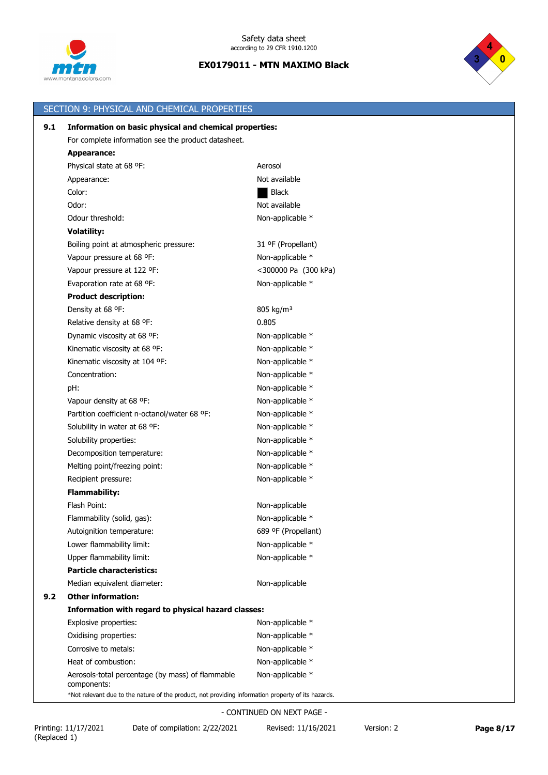



|     | SECTION 9: PHYSICAL AND CHEMICAL PROPERTIES                                                        |                       |
|-----|----------------------------------------------------------------------------------------------------|-----------------------|
| 9.1 | Information on basic physical and chemical properties:                                             |                       |
|     | For complete information see the product datasheet.                                                |                       |
|     | Appearance:                                                                                        |                       |
|     | Physical state at 68 °F:                                                                           | Aerosol               |
|     | Appearance:                                                                                        | Not available         |
|     | Color:                                                                                             | <b>Black</b>          |
|     | Odor:                                                                                              | Not available         |
|     | Odour threshold:                                                                                   | Non-applicable *      |
|     | <b>Volatility:</b>                                                                                 |                       |
|     | Boiling point at atmospheric pressure:                                                             | 31 ºF (Propellant)    |
|     | Vapour pressure at 68 °F:                                                                          | Non-applicable *      |
|     | Vapour pressure at 122 °F:                                                                         | <300000 Pa (300 kPa)  |
|     | Evaporation rate at 68 °F:                                                                         | Non-applicable *      |
|     | <b>Product description:</b>                                                                        |                       |
|     | Density at 68 °F:                                                                                  | 805 kg/m <sup>3</sup> |
|     | Relative density at 68 °F:                                                                         | 0.805                 |
|     | Dynamic viscosity at 68 °F:                                                                        | Non-applicable *      |
|     | Kinematic viscosity at 68 °F:                                                                      | Non-applicable *      |
|     | Kinematic viscosity at 104 °F:                                                                     | Non-applicable *      |
|     | Concentration:                                                                                     | Non-applicable *      |
|     | pH:                                                                                                | Non-applicable *      |
|     | Vapour density at 68 °F:                                                                           | Non-applicable *      |
|     | Partition coefficient n-octanol/water 68 °F:                                                       | Non-applicable *      |
|     | Solubility in water at 68 °F:                                                                      | Non-applicable *      |
|     | Solubility properties:                                                                             | Non-applicable *      |
|     | Decomposition temperature:                                                                         | Non-applicable *      |
|     | Melting point/freezing point:                                                                      | Non-applicable *      |
|     | Recipient pressure:                                                                                | Non-applicable *      |
|     | <b>Flammability:</b>                                                                               |                       |
|     | Flash Point:                                                                                       | Non-applicable        |
|     | Flammability (solid, gas):                                                                         | Non-applicable *      |
|     | Autoignition temperature:                                                                          | 689 ºF (Propellant)   |
|     | Lower flammability limit:                                                                          | Non-applicable *      |
|     | Upper flammability limit:                                                                          | Non-applicable *      |
|     | <b>Particle characteristics:</b>                                                                   |                       |
|     | Median equivalent diameter:                                                                        | Non-applicable        |
| 9.2 | <b>Other information:</b>                                                                          |                       |
|     | Information with regard to physical hazard classes:                                                |                       |
|     | Explosive properties:                                                                              | Non-applicable *      |
|     | Oxidising properties:                                                                              | Non-applicable *      |
|     | Corrosive to metals:                                                                               | Non-applicable *      |
|     | Heat of combustion:                                                                                | Non-applicable *      |
|     | Aerosols-total percentage (by mass) of flammable<br>components:                                    | Non-applicable *      |
|     | *Not relevant due to the nature of the product, not providing information property of its hazards. |                       |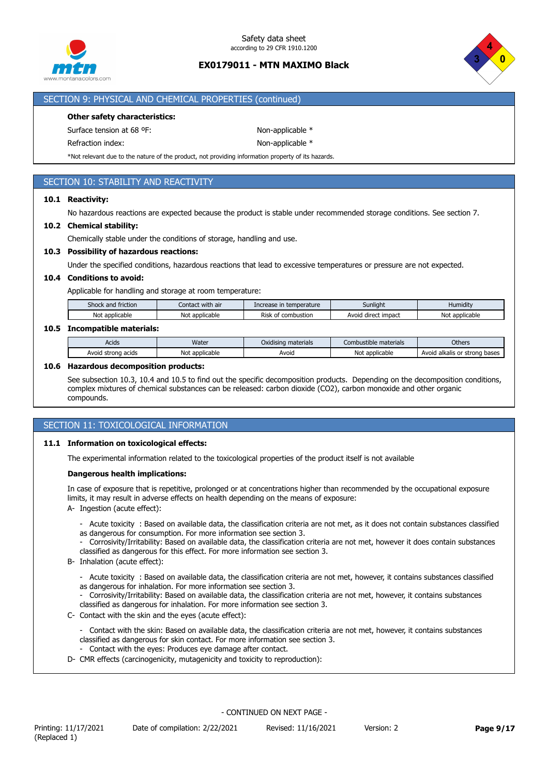



### SECTION 9: PHYSICAL AND CHEMICAL PROPERTIES (continued)

### **Other safety characteristics:**

Surface tension at 68 °F: Non-applicable \*

Refraction index: Non-applicable \*

\*Not relevant due to the nature of the product, not providing information property of its hazards.

# SECTION 10: STABILITY AND REACTIVITY

### **10.1 Reactivity:**

No hazardous reactions are expected because the product is stable under recommended storage conditions. See section 7.

### **10.2 Chemical stability:**

Chemically stable under the conditions of storage, handling and use.

### **10.3 Possibility of hazardous reactions:**

Under the specified conditions, hazardous reactions that lead to excessive temperatures or pressure are not expected.

### **10.4 Conditions to avoid:**

Applicable for handling and storage at room temperature:

| $\sim$<br>$\cdots$<br>Shock and<br>friction | with air<br>Contact | e in temperature<br>rease. | Sunliaht                     | Humidity          |
|---------------------------------------------|---------------------|----------------------------|------------------------------|-------------------|
| Not applicable                              | applicable<br>Not   | Risk<br>combustion<br>Οl   | <br>1 direct impact<br>Avoid | No.<br>applicable |
|                                             |                     |                            |                              |                   |

# **10.5 Incompatible materials:**

| Acids                    | Water             | materials<br>Oxidisina | Combustible materials | Others                                           |
|--------------------------|-------------------|------------------------|-----------------------|--------------------------------------------------|
| Avoig<br>acids<br>strona | Not<br>applicable | Avoid                  | Not<br>: applicable   | Avo<br>bases<br>alkalis<br>strona<br>$\sim$<br>u |

#### **10.6 Hazardous decomposition products:**

See subsection 10.3, 10.4 and 10.5 to find out the specific decomposition products. Depending on the decomposition conditions, complex mixtures of chemical substances can be released: carbon dioxide (CO2), carbon monoxide and other organic compounds.

# SECTION 11: TOXICOLOGICAL INFORMATION

#### **11.1 Information on toxicological effects:**

The experimental information related to the toxicological properties of the product itself is not available

### **Dangerous health implications:**

In case of exposure that is repetitive, prolonged or at concentrations higher than recommended by the occupational exposure limits, it may result in adverse effects on health depending on the means of exposure:

- A- Ingestion (acute effect):
	- Acute toxicity : Based on available data, the classification criteria are not met, as it does not contain substances classified as dangerous for consumption. For more information see section 3.
	- Corrosivity/Irritability: Based on available data, the classification criteria are not met, however it does contain substances classified as dangerous for this effect. For more information see section 3.
- B- Inhalation (acute effect):
	- Acute toxicity : Based on available data, the classification criteria are not met, however, it contains substances classified
	- as dangerous for inhalation. For more information see section 3.
	- Corrosivity/Irritability: Based on available data, the classification criteria are not met, however, it contains substances classified as dangerous for inhalation. For more information see section 3.
- C- Contact with the skin and the eyes (acute effect):
	- Contact with the skin: Based on available data, the classification criteria are not met, however, it contains substances classified as dangerous for skin contact. For more information see section 3.
	- Contact with the eyes: Produces eye damage after contact.
- D- CMR effects (carcinogenicity, mutagenicity and toxicity to reproduction):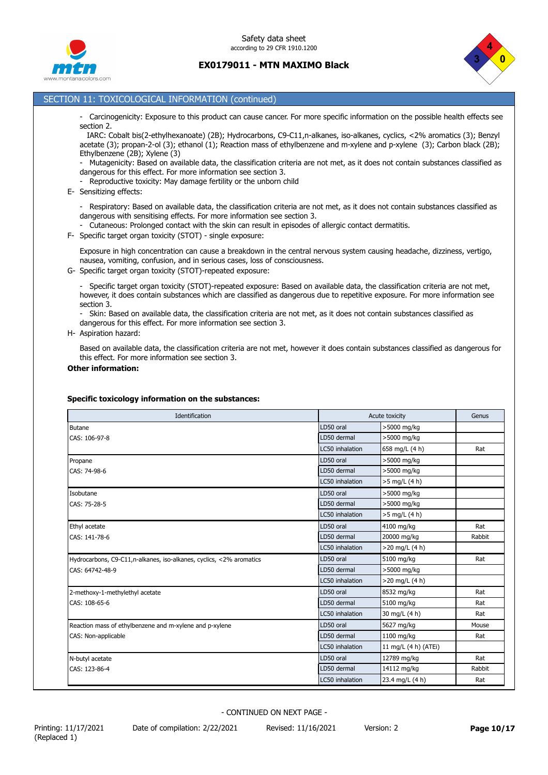



### SECTION 11: TOXICOLOGICAL INFORMATION (continued)

- Carcinogenicity: Exposure to this product can cause cancer. For more specific information on the possible health effects see section 2.

 IARC: Cobalt bis(2-ethylhexanoate) (2B); Hydrocarbons, C9-C11,n-alkanes, iso-alkanes, cyclics, <2% aromatics (3); Benzyl acetate (3); propan-2-ol (3); ethanol (1); Reaction mass of ethylbenzene and m-xylene and p-xylene (3); Carbon black (2B); Ethylbenzene (2B); Xylene (3)

- Mutagenicity: Based on available data, the classification criteria are not met, as it does not contain substances classified as dangerous for this effect. For more information see section 3.

- Reproductive toxicity: May damage fertility or the unborn child

E- Sensitizing effects:

- Respiratory: Based on available data, the classification criteria are not met, as it does not contain substances classified as dangerous with sensitising effects. For more information see section 3.

- Cutaneous: Prolonged contact with the skin can result in episodes of allergic contact dermatitis.

F- Specific target organ toxicity (STOT) - single exposure:

Exposure in high concentration can cause a breakdown in the central nervous system causing headache, dizziness, vertigo, nausea, vomiting, confusion, and in serious cases, loss of consciousness.

G- Specific target organ toxicity (STOT)-repeated exposure:

- Specific target organ toxicity (STOT)-repeated exposure: Based on available data, the classification criteria are not met, however, it does contain substances which are classified as dangerous due to repetitive exposure. For more information see section 3.

- Skin: Based on available data, the classification criteria are not met, as it does not contain substances classified as dangerous for this effect. For more information see section 3.

H- Aspiration hazard:

Based on available data, the classification criteria are not met, however it does contain substances classified as dangerous for this effect. For more information see section 3.

#### **Other information:**

### **Specific toxicology information on the substances:**

| Identification                                                       |                 | Acute toxicity       | Genus  |
|----------------------------------------------------------------------|-----------------|----------------------|--------|
| <b>Butane</b>                                                        | LD50 oral       | >5000 mg/kg          |        |
| CAS: 106-97-8                                                        | LD50 dermal     | >5000 mg/kg          |        |
|                                                                      | LC50 inhalation | 658 mg/L (4 h)       | Rat    |
| Propane                                                              | LD50 oral       | >5000 mg/kg          |        |
| CAS: 74-98-6                                                         | LD50 dermal     | >5000 mg/kg          |        |
|                                                                      | LC50 inhalation | >5 mg/L (4 h)        |        |
| Isobutane                                                            | LD50 oral       | >5000 mg/kg          |        |
| CAS: 75-28-5                                                         | LD50 dermal     | >5000 mg/kg          |        |
|                                                                      | LC50 inhalation | >5 mg/L (4 h)        |        |
| Ethyl acetate                                                        | LD50 oral       | 4100 mg/kg           | Rat    |
| CAS: 141-78-6                                                        | LD50 dermal     | 20000 mg/kg          | Rabbit |
|                                                                      | LC50 inhalation | $>20$ mg/L (4 h)     |        |
| Hydrocarbons, C9-C11, n-alkanes, iso-alkanes, cyclics, <2% aromatics | LD50 oral       | 5100 mg/kg           | Rat    |
| CAS: 64742-48-9                                                      | LD50 dermal     | >5000 mg/kg          |        |
|                                                                      | LC50 inhalation | $>20$ mg/L (4 h)     |        |
| 2-methoxy-1-methylethyl acetate                                      | LD50 oral       | 8532 mg/kg           | Rat    |
| CAS: 108-65-6                                                        | LD50 dermal     | 5100 mg/kg           | Rat    |
|                                                                      | LC50 inhalation | 30 mg/L (4 h)        | Rat    |
| Reaction mass of ethylbenzene and m-xylene and p-xylene              | LD50 oral       | 5627 mg/kg           | Mouse  |
| CAS: Non-applicable                                                  | LD50 dermal     | 1100 mg/kg           | Rat    |
|                                                                      | LC50 inhalation | 11 mg/L (4 h) (ATEi) |        |
| N-butyl acetate                                                      | LD50 oral       | 12789 mg/kg          | Rat    |
| CAS: 123-86-4                                                        | LD50 dermal     | 14112 mg/kg          | Rabbit |
|                                                                      | LC50 inhalation | 23.4 mg/L (4 h)      | Rat    |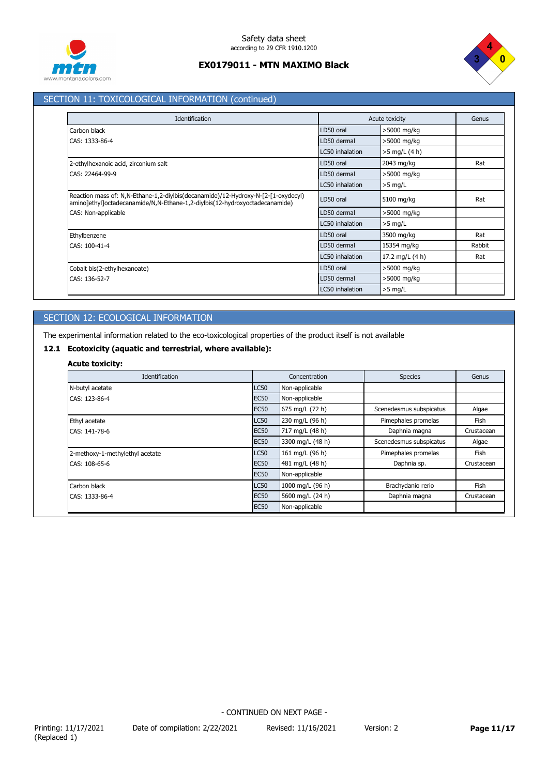



# SECTION 11: TOXICOLOGICAL INFORMATION (continued)

| Identification                                                                                                                                                   |                 | Acute toxicity  | Genus  |
|------------------------------------------------------------------------------------------------------------------------------------------------------------------|-----------------|-----------------|--------|
| Carbon black                                                                                                                                                     | LD50 oral       | >5000 mg/kg     |        |
| CAS: 1333-86-4                                                                                                                                                   | LD50 dermal     | >5000 mg/kg     |        |
|                                                                                                                                                                  | LC50 inhalation | $>5$ mg/L (4 h) |        |
| 2-ethylhexanoic acid, zirconium salt                                                                                                                             | LD50 oral       | 2043 mg/kg      | Rat    |
| CAS: 22464-99-9                                                                                                                                                  | LD50 dermal     | >5000 mg/kg     |        |
|                                                                                                                                                                  | LC50 inhalation | $>5$ mg/L       |        |
| Reaction mass of: N,N-Ethane-1,2-diylbis(decanamide)/12-Hydroxy-N-[2-[1-oxydecyl)<br>amino]ethyl]octadecanamide/N,N-Ethane-1,2-diylbis(12-hydroxyoctadecanamide) | LD50 oral       | 5100 mg/kg      | Rat    |
| CAS: Non-applicable                                                                                                                                              | LD50 dermal     | >5000 mg/kg     |        |
|                                                                                                                                                                  | LC50 inhalation | $>5$ mg/L       |        |
| Ethylbenzene                                                                                                                                                     | LD50 oral       | 3500 mg/kg      | Rat    |
| CAS: 100-41-4                                                                                                                                                    | LD50 dermal     | 15354 mg/kg     | Rabbit |
|                                                                                                                                                                  | LC50 inhalation | 17.2 mg/L (4 h) | Rat    |
| Cobalt bis(2-ethylhexanoate)                                                                                                                                     | LD50 oral       | >5000 mg/kg     |        |
| CAS: 136-52-7                                                                                                                                                    | LD50 dermal     | >5000 mg/kg     |        |
|                                                                                                                                                                  | LC50 inhalation | $>5$ mg/L       |        |

# SECTION 12: ECOLOGICAL INFORMATION

The experimental information related to the eco-toxicological properties of the product itself is not available

# **12.1 Ecotoxicity (aquatic and terrestrial, where available):**

# **Acute toxicity:**

| Identification                  |             | Concentration    | <b>Species</b>          | Genus      |
|---------------------------------|-------------|------------------|-------------------------|------------|
| N-butyl acetate                 | <b>LC50</b> | Non-applicable   |                         |            |
| CAS: 123-86-4                   | <b>EC50</b> | Non-applicable   |                         |            |
|                                 | <b>EC50</b> | 675 mg/L (72 h)  | Scenedesmus subspicatus | Algae      |
| Ethyl acetate                   | <b>LC50</b> | 230 mg/L (96 h)  | Pimephales promelas     | Fish       |
| CAS: 141-78-6                   | <b>EC50</b> | 717 mg/L (48 h)  | Daphnia magna           | Crustacean |
|                                 | <b>EC50</b> | 3300 mg/L (48 h) | Scenedesmus subspicatus | Algae      |
| 2-methoxy-1-methylethyl acetate | <b>LC50</b> | 161 mg/L (96 h)  | Pimephales promelas     | Fish       |
| CAS: 108-65-6                   | <b>EC50</b> | 481 mg/L (48 h)  | Daphnia sp.             | Crustacean |
|                                 | <b>EC50</b> | Non-applicable   |                         |            |
| Carbon black                    | <b>LC50</b> | 1000 mg/L (96 h) | Brachydanio rerio       | Fish       |
| CAS: 1333-86-4                  | <b>EC50</b> | 5600 mg/L (24 h) | Daphnia magna           | Crustacean |
|                                 | <b>EC50</b> | Non-applicable   |                         |            |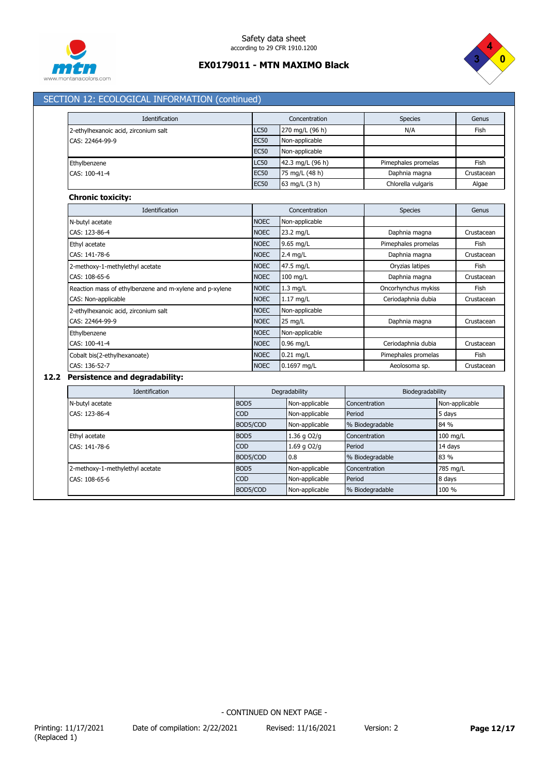



# SECTION 12: ECOLOGICAL INFORMATION (continued)

| Identification                                          |             | Concentration    | <b>Species</b>      | Genus      |
|---------------------------------------------------------|-------------|------------------|---------------------|------------|
| 2-ethylhexanoic acid, zirconium salt                    | <b>LC50</b> | 270 mg/L (96 h)  | N/A                 | Fish       |
| CAS: 22464-99-9                                         | <b>EC50</b> | Non-applicable   |                     |            |
|                                                         | <b>EC50</b> | Non-applicable   |                     |            |
| Ethylbenzene                                            | <b>LC50</b> | 42.3 mg/L (96 h) | Pimephales promelas | Fish       |
| CAS: 100-41-4                                           | <b>EC50</b> | 75 mg/L (48 h)   | Daphnia magna       | Crustacean |
|                                                         | <b>EC50</b> | 63 mg/L (3 h)    | Chlorella vulgaris  | Algae      |
| <b>Chronic toxicity:</b>                                |             |                  |                     |            |
| Identification                                          |             | Concentration    | <b>Species</b>      | Genus      |
| N-butyl acetate                                         | <b>NOEC</b> | Non-applicable   |                     |            |
| CAS: 123-86-4                                           | <b>NOEC</b> | 23.2 mg/L        | Daphnia magna       | Crustacean |
| Ethyl acetate                                           | <b>NOEC</b> | 9.65 mg/L        | Pimephales promelas | Fish       |
| CAS: 141-78-6                                           | <b>NOEC</b> | $2.4$ mg/L       | Daphnia magna       | Crustacean |
| 2-methoxy-1-methylethyl acetate                         | <b>NOEC</b> | 47.5 mg/L        | Oryzias latipes     | Fish       |
| CAS: 108-65-6                                           | <b>NOEC</b> | 100 mg/L         | Daphnia magna       | Crustacean |
| Reaction mass of ethylbenzene and m-xylene and p-xylene | <b>NOEC</b> | $1.3$ mg/L       | Oncorhynchus mykiss | Fish       |
| CAS: Non-applicable                                     | <b>NOEC</b> | 1.17 mg/L        | Ceriodaphnia dubia  | Crustacean |
| 2-ethylhexanoic acid, zirconium salt                    | <b>NOEC</b> | Non-applicable   |                     |            |
| CAS: 22464-99-9                                         | <b>NOEC</b> | 25 mg/L          | Daphnia magna       | Crustacean |
| Ethylbenzene                                            | <b>NOEC</b> | Non-applicable   |                     |            |
| CAS: 100-41-4                                           | <b>NOEC</b> | $0.96$ mg/L      | Ceriodaphnia dubia  | Crustacean |
| Cobalt bis(2-ethylhexanoate)                            | <b>NOEC</b> | $0.21$ mg/L      | Pimephales promelas | Fish       |
| CAS: 136-52-7                                           | <b>NOEC</b> | 0.1697 mg/L      | Aeolosoma sp.       | Crustacean |

# **12.2 Persistence and degradability:**

| Identification                  | Degradability    |                 | Biodegradability |                |
|---------------------------------|------------------|-----------------|------------------|----------------|
| N-butyl acetate                 | BOD <sub>5</sub> | Non-applicable  | Concentration    | Non-applicable |
| CAS: 123-86-4                   | <b>COD</b>       | Non-applicable  | Period           | 5 days         |
|                                 | BOD5/COD         | Non-applicable  | % Biodegradable  | 84 %           |
| Ethyl acetate                   | BOD <sub>5</sub> | l.36 g O2/g     | Concentration    | 100 mg/L       |
| CAS: 141-78-6                   | <b>COD</b>       | $1.69$ q $O2/q$ | Period           | 14 days        |
|                                 | BOD5/COD         | $\mathsf{I}0.8$ | % Biodegradable  | 83 %           |
| 2-methoxy-1-methylethyl acetate | BOD <sub>5</sub> | Non-applicable  | Concentration    | 785 mg/L       |
| CAS: 108-65-6                   | <b>COD</b>       | Non-applicable  | Period           | 8 days         |
|                                 | BOD5/COD         | Non-applicable  | % Biodegradable  | 100 %          |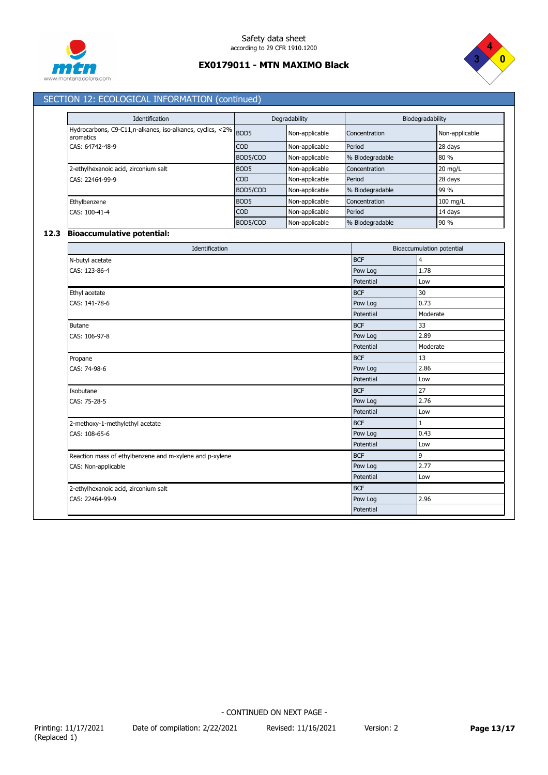



# SECTION 12: ECOLOGICAL INFORMATION (continued)

| Identification                                                              | Degradability    |                | Biodegradability |                   |
|-----------------------------------------------------------------------------|------------------|----------------|------------------|-------------------|
| Hydrocarbons, C9-C11,n-alkanes, iso-alkanes, cyclics, <2% BOD5<br>aromatics |                  | Non-applicable | Concentration    | Non-applicable    |
| CAS: 64742-48-9                                                             | <b>COD</b>       | Non-applicable | Period           | 28 days           |
|                                                                             | BOD5/COD         | Non-applicable | % Biodegradable  | 80 %              |
| 2-ethylhexanoic acid, zirconium salt                                        | BOD <sub>5</sub> | Non-applicable | Concentration    | $20 \text{ mg/L}$ |
| CAS: 22464-99-9                                                             | <b>COD</b>       | Non-applicable | Period           | 28 days           |
|                                                                             | BOD5/COD         | Non-applicable | % Biodegradable  | 99 %              |
| Ethylbenzene                                                                | BOD <sub>5</sub> | Non-applicable | Concentration    | $100$ mg/L        |
| CAS: 100-41-4                                                               | <b>COD</b>       | Non-applicable | Period           | 14 days           |
|                                                                             | BOD5/COD         | Non-applicable | % Biodegradable  | 90 %              |

# **12.3 Bioaccumulative potential:**

| Identification                                          |            | Bioaccumulation potential |
|---------------------------------------------------------|------------|---------------------------|
| N-butyl acetate                                         | <b>BCF</b> | 4                         |
| CAS: 123-86-4                                           | Pow Log    | 1.78                      |
|                                                         | Potential  | Low                       |
| Ethyl acetate                                           | <b>BCF</b> | 30                        |
| CAS: 141-78-6                                           | Pow Log    | 0.73                      |
|                                                         | Potential  | Moderate                  |
| <b>Butane</b>                                           | <b>BCF</b> | 33                        |
| CAS: 106-97-8                                           | Pow Log    | 2.89                      |
|                                                         | Potential  | Moderate                  |
| Propane                                                 | <b>BCF</b> | 13                        |
| CAS: 74-98-6                                            | Pow Log    | 2.86                      |
|                                                         | Potential  | Low                       |
| Isobutane                                               | <b>BCF</b> | 27                        |
| CAS: 75-28-5                                            | Pow Log    | 2.76                      |
|                                                         | Potential  | Low                       |
| 2-methoxy-1-methylethyl acetate                         | <b>BCF</b> | $\mathbf{1}$              |
| CAS: 108-65-6                                           | Pow Log    | 0.43                      |
|                                                         | Potential  | Low                       |
| Reaction mass of ethylbenzene and m-xylene and p-xylene | <b>BCF</b> | 9                         |
| CAS: Non-applicable                                     | Pow Log    | 2.77                      |
|                                                         | Potential  | Low                       |
| 2-ethylhexanoic acid, zirconium salt                    | <b>BCF</b> |                           |
| CAS: 22464-99-9                                         | Pow Log    | 2.96                      |
|                                                         | Potential  |                           |

Printing: 11/17/2021 Date of compilation: 2/22/2021 Revised: 11/16/2021 Version: 2 **Page 13/17** (Replaced 1)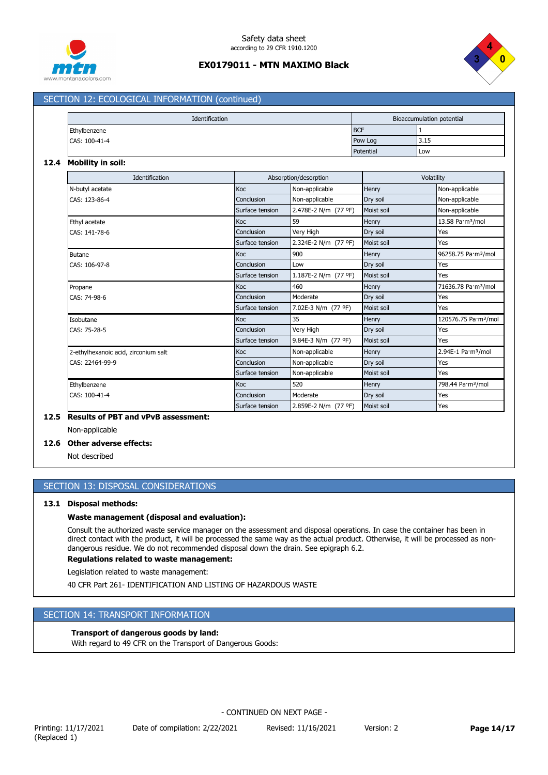



## SECTION 12: ECOLOGICAL INFORMATION (continued)

| Identification |  |            | Bioaccumulation potential |             |  |
|----------------|--|------------|---------------------------|-------------|--|
| Ethylbenzene   |  | <b>BCF</b> |                           |             |  |
| CAS: 100-41-4  |  |            | Pow Log                   | 5.15        |  |
|                |  |            | Potential                 | <b>ILow</b> |  |

#### **12.4 Mobility in soil:**

| Identification                       |                 | Absorption/desorption |            | Volatility                       |  |
|--------------------------------------|-----------------|-----------------------|------------|----------------------------------|--|
| N-butyl acetate                      | Koc             | Non-applicable        | Henry      | Non-applicable                   |  |
| CAS: 123-86-4                        | Conclusion      | Non-applicable        | Dry soil   | Non-applicable                   |  |
|                                      | Surface tension | 2.478E-2 N/m (77 °F)  | Moist soil | Non-applicable                   |  |
| Ethyl acetate                        | Koc             | 59                    | Henry      | 13.58 Pa·m <sup>3</sup> /mol     |  |
| CAS: 141-78-6                        | Conclusion      | Very High             | Dry soil   | Yes                              |  |
|                                      | Surface tension | 2.324E-2 N/m (77 °F)  | Moist soil | Yes                              |  |
| <b>Butane</b>                        | Koc             | 900                   | Henry      | 96258.75 Pa·m <sup>3</sup> /mol  |  |
| CAS: 106-97-8                        | Conclusion      | Low                   | Dry soil   | Yes                              |  |
|                                      | Surface tension | 1.187E-2 N/m (77 °F)  | Moist soil | Yes                              |  |
| Propane                              | Koc             | 460                   | Henry      | 71636.78 Pa·m <sup>3</sup> /mol  |  |
| CAS: 74-98-6                         | Conclusion      | Moderate              | Dry soil   | Yes                              |  |
|                                      | Surface tension | 7.02E-3 N/m (77 °F)   | Moist soil | Yes                              |  |
| Isobutane                            | Koc             | 35                    | Henry      | 120576.75 Pa·m <sup>3</sup> /mol |  |
| CAS: 75-28-5                         | Conclusion      | Very High             | Dry soil   | Yes                              |  |
|                                      | Surface tension | 9.84E-3 N/m (77 °F)   | Moist soil | Yes                              |  |
| 2-ethylhexanoic acid, zirconium salt | Koc             | Non-applicable        | Henry      | 2.94E-1 Pa·m <sup>3</sup> /mol   |  |
| CAS: 22464-99-9                      | Conclusion      | Non-applicable        | Dry soil   | Yes                              |  |
|                                      | Surface tension | Non-applicable        | Moist soil | Yes                              |  |
| Ethylbenzene                         | Koc             | 520                   | Henry      | 798.44 Pa·m <sup>3</sup> /mol    |  |
| CAS: 100-41-4                        | Conclusion      | Moderate              | Dry soil   | Yes                              |  |
|                                      | Surface tension | 2.859E-2 N/m (77 °F)  | Moist soil | Yes                              |  |

# **12.5 Results of PBT and vPvB assessment:**

Non-applicable

# **12.6 Other adverse effects:**

Not described

### SECTION 13: DISPOSAL CONSIDERATIONS

### **13.1 Disposal methods:**

### **Waste management (disposal and evaluation):**

Consult the authorized waste service manager on the assessment and disposal operations. In case the container has been in direct contact with the product, it will be processed the same way as the actual product. Otherwise, it will be processed as nondangerous residue. We do not recommended disposal down the drain. See epigraph 6.2.

**Regulations related to waste management:**

Legislation related to waste management:

40 CFR Part 261- IDENTIFICATION AND LISTING OF HAZARDOUS WASTE

# SECTION 14: TRANSPORT INFORMATION

### **Transport of dangerous goods by land:**

With regard to 49 CFR on the Transport of Dangerous Goods:

Printing: 11/17/2021 Date of compilation: 2/22/2021 Revised: 11/16/2021 Version: 2 **Page 14/17**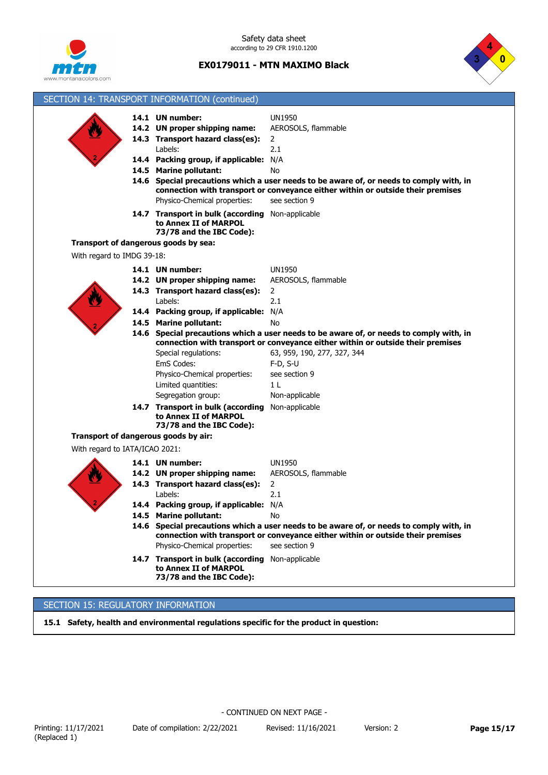

Safety data sheet according to 29 CFR 1910.1200

**EX0179011 - MTN MAXIMO Black**



| SECTION 14: TRANSPORT INFORMATION (continued) |                                                                                                                                                                                                                                      |                                                                                                                                                                                                                                                                                              |  |  |  |
|-----------------------------------------------|--------------------------------------------------------------------------------------------------------------------------------------------------------------------------------------------------------------------------------------|----------------------------------------------------------------------------------------------------------------------------------------------------------------------------------------------------------------------------------------------------------------------------------------------|--|--|--|
|                                               | 14.1 UN number:<br>14.2 UN proper shipping name:<br>14.3 Transport hazard class(es):<br>Labels:<br>14.4 Packing group, if applicable:<br>14.5 Marine pollutant:<br>Physico-Chemical properties:<br>14.7 Transport in bulk (according | <b>UN1950</b><br>AEROSOLS, flammable<br>$\overline{2}$<br>2.1<br>N/A<br>No.<br>14.6 Special precautions which a user needs to be aware of, or needs to comply with, in<br>connection with transport or conveyance either within or outside their premises<br>see section 9<br>Non-applicable |  |  |  |
|                                               | to Annex II of MARPOL<br>73/78 and the IBC Code):                                                                                                                                                                                    |                                                                                                                                                                                                                                                                                              |  |  |  |
| Transport of dangerous goods by sea:          |                                                                                                                                                                                                                                      |                                                                                                                                                                                                                                                                                              |  |  |  |
| With regard to IMDG 39-18:                    |                                                                                                                                                                                                                                      |                                                                                                                                                                                                                                                                                              |  |  |  |
|                                               | 14.1 UN number:                                                                                                                                                                                                                      | <b>UN1950</b>                                                                                                                                                                                                                                                                                |  |  |  |
|                                               | 14.2 UN proper shipping name:                                                                                                                                                                                                        | AEROSOLS, flammable                                                                                                                                                                                                                                                                          |  |  |  |
|                                               | 14.3 Transport hazard class(es):                                                                                                                                                                                                     | 2                                                                                                                                                                                                                                                                                            |  |  |  |
|                                               | Labels:                                                                                                                                                                                                                              | 2.1<br>N/A                                                                                                                                                                                                                                                                                   |  |  |  |
|                                               | 14.4 Packing group, if applicable:<br>14.5 Marine pollutant:                                                                                                                                                                         | No                                                                                                                                                                                                                                                                                           |  |  |  |
|                                               |                                                                                                                                                                                                                                      | 14.6 Special precautions which a user needs to be aware of, or needs to comply with, in                                                                                                                                                                                                      |  |  |  |
|                                               | connection with transport or conveyance either within or outside their premises                                                                                                                                                      |                                                                                                                                                                                                                                                                                              |  |  |  |
|                                               | Special regulations:                                                                                                                                                                                                                 | 63, 959, 190, 277, 327, 344                                                                                                                                                                                                                                                                  |  |  |  |
|                                               | EmS Codes:                                                                                                                                                                                                                           | $F-D, S-U$                                                                                                                                                                                                                                                                                   |  |  |  |
|                                               | Physico-Chemical properties:                                                                                                                                                                                                         | see section 9                                                                                                                                                                                                                                                                                |  |  |  |
|                                               | Limited quantities:                                                                                                                                                                                                                  | 1 L                                                                                                                                                                                                                                                                                          |  |  |  |
|                                               | Segregation group:<br>14.7 Transport in bulk (according                                                                                                                                                                              | Non-applicable<br>Non-applicable                                                                                                                                                                                                                                                             |  |  |  |
|                                               | to Annex II of MARPOL<br>73/78 and the IBC Code):                                                                                                                                                                                    |                                                                                                                                                                                                                                                                                              |  |  |  |
| Transport of dangerous goods by air:          |                                                                                                                                                                                                                                      |                                                                                                                                                                                                                                                                                              |  |  |  |
| With regard to IATA/ICAO 2021:                |                                                                                                                                                                                                                                      |                                                                                                                                                                                                                                                                                              |  |  |  |
|                                               | 14.1 UN number:                                                                                                                                                                                                                      | <b>UN1950</b>                                                                                                                                                                                                                                                                                |  |  |  |
|                                               | 14.2 UN proper shipping name:                                                                                                                                                                                                        | AEROSOLS, flammable                                                                                                                                                                                                                                                                          |  |  |  |
|                                               | 14.3 Transport hazard class(es):                                                                                                                                                                                                     | 2                                                                                                                                                                                                                                                                                            |  |  |  |
|                                               | Labels:                                                                                                                                                                                                                              | 2.1                                                                                                                                                                                                                                                                                          |  |  |  |
|                                               | 14.4 Packing group, if applicable: N/A                                                                                                                                                                                               |                                                                                                                                                                                                                                                                                              |  |  |  |
|                                               | 14.5 Marine pollutant:                                                                                                                                                                                                               | No.                                                                                                                                                                                                                                                                                          |  |  |  |
|                                               | 14.6 Special precautions which a user needs to be aware of, or needs to comply with, in<br>connection with transport or conveyance either within or outside their premises                                                           |                                                                                                                                                                                                                                                                                              |  |  |  |
|                                               | Physico-Chemical properties:                                                                                                                                                                                                         | see section 9                                                                                                                                                                                                                                                                                |  |  |  |
|                                               | 14.7 Transport in bulk (according<br>to Annex II of MARPOL<br>73/78 and the IBC Code):                                                                                                                                               | Non-applicable                                                                                                                                                                                                                                                                               |  |  |  |

# SECTION 15: REGULATORY INFORMATION

**15.1 Safety, health and environmental regulations specific for the product in question:**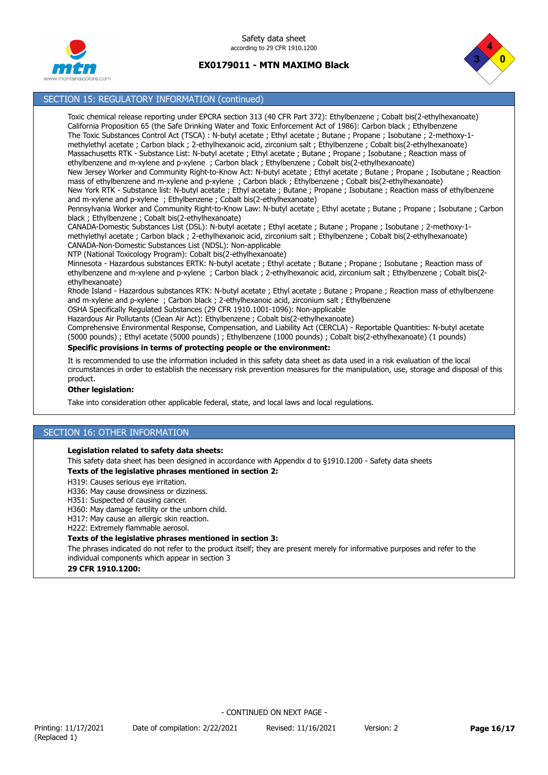





# SECTION 15: REGULATORY INFORMATION (continued)

Toxic chemical release reporting under EPCRA section 313 (40 CFR Part 372): Ethylbenzene ; Cobalt bis(2-ethylhexanoate) California Proposition 65 (the Safe Drinking Water and Toxic Enforcement Act of 1986): Carbon black ; Ethylbenzene The Toxic Substances Control Act (TSCA) : N-butyl acetate ; Ethyl acetate ; Butane ; Propane ; Isobutane ; 2-methoxy-1 methylethyl acetate ; Carbon black ; 2-ethylhexanoic acid, zirconium salt ; Ethylbenzene ; Cobalt bis(2-ethylhexanoate) Massachusetts RTK - Substance List: N-butyl acetate ; Ethyl acetate ; Butane ; Propane ; Isobutane ; Reaction mass of ethylbenzene and m-xylene and p-xylene ; Carbon black ; Ethylbenzene ; Cobalt bis(2-ethylhexanoate) New Jersey Worker and Community Right-to-Know Act: N-butyl acetate ; Ethyl acetate ; Butane ; Propane ; Isobutane ; Reaction mass of ethylbenzene and m-xylene and p-xylene ; Carbon black ; Ethylbenzene ; Cobalt bis(2-ethylhexanoate) New York RTK - Substance list: N-butyl acetate ; Ethyl acetate ; Butane ; Propane ; Isobutane ; Reaction mass of ethylbenzene and m-xylene and p-xylene ; Ethylbenzene ; Cobalt bis(2-ethylhexanoate) Pennsylvania Worker and Community Right-to-Know Law: N-butyl acetate ; Ethyl acetate ; Butane ; Propane ; Isobutane ; Carbon black ; Ethylbenzene ; Cobalt bis(2-ethylhexanoate)

CANADA-Domestic Substances List (DSL): N-butyl acetate ; Ethyl acetate ; Butane ; Propane ; Isobutane ; 2-methoxy-1 methylethyl acetate ; Carbon black ; 2-ethylhexanoic acid, zirconium salt ; Ethylbenzene ; Cobalt bis(2-ethylhexanoate) CANADA-Non-Domestic Substances List (NDSL): Non-applicable

NTP (National Toxicology Program): Cobalt bis(2-ethylhexanoate)

Minnesota - Hazardous substances ERTK: N-butyl acetate ; Ethyl acetate ; Butane ; Propane ; Isobutane ; Reaction mass of ethylbenzene and m-xylene and p-xylene ; Carbon black ; 2-ethylhexanoic acid, zirconium salt ; Ethylbenzene ; Cobalt bis(2 ethylhexanoate)

Rhode Island - Hazardous substances RTK: N-butyl acetate ; Ethyl acetate ; Butane ; Propane ; Reaction mass of ethylbenzene and m-xylene and p-xylene ; Carbon black ; 2-ethylhexanoic acid, zirconium salt ; Ethylbenzene

OSHA Specifically Regulated Substances (29 CFR 1910.1001-1096): Non-applicable

Hazardous Air Pollutants (Clean Air Act): Ethylbenzene ; Cobalt bis(2-ethylhexanoate) Comprehensive Environmental Response, Compensation, and Liability Act (CERCLA) - Reportable Quantities: N-butyl acetate (5000 pounds) ; Ethyl acetate (5000 pounds) ; Ethylbenzene (1000 pounds) ; Cobalt bis(2-ethylhexanoate) (1 pounds)

#### **Specific provisions in terms of protecting people or the environment:**

It is recommended to use the information included in this safety data sheet as data used in a risk evaluation of the local circumstances in order to establish the necessary risk prevention measures for the manipulation, use, storage and disposal of this product.

### **Other legislation:**

Take into consideration other applicable federal, state, and local laws and local regulations.

# SECTION 16: OTHER INFORMATION

#### **Legislation related to safety data sheets:**

This safety data sheet has been designed in accordance with Appendix d to §1910.1200 - Safety data sheets **Texts of the legislative phrases mentioned in section 2:**

H319: Causes serious eye irritation.

H336: May cause drowsiness or dizziness.

H351: Suspected of causing cancer.

H360: May damage fertility or the unborn child.

H317: May cause an allergic skin reaction.

H222: Extremely flammable aerosol.

### **Texts of the legislative phrases mentioned in section 3:**

The phrases indicated do not refer to the product itself; they are present merely for informative purposes and refer to the individual components which appear in section 3

# **29 CFR 1910.1200:**